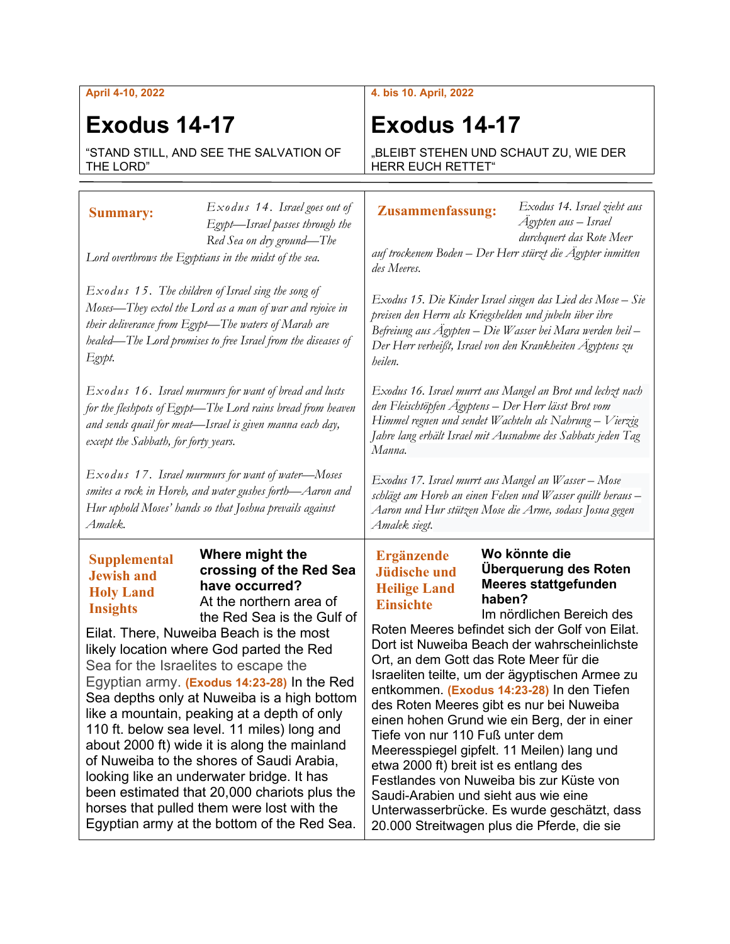### **April 4-10, 2022**

# **Exodus 14-17**

"STAND STILL, AND SEE THE SALVATION OF THE LORD"

## **4. bis 10. April, 2022**

# **Exodus 14-17**

"BLEIBT STEHEN UND SCHAUT ZU, WIE DER HERR EUCH RETTET"

| <b>Summary:</b>                                                                                                                                                                                                                                    | Exodus 14. Israel goes out of<br>Egypt-Israel passes through the                                                                                                                                                                                                                                                                                                                                                                                                                                                                                                                                                                                                                                | Exodus 14. Israel zieht aus<br><b>Zusammenfassung:</b><br>Ägypten aus – Israel<br>durchquert das Rote Meer                                                                                                                                                                                                                                                                                                                                                                                                                                                                                                                                                                                                                                                                                                                                               |  |
|----------------------------------------------------------------------------------------------------------------------------------------------------------------------------------------------------------------------------------------------------|-------------------------------------------------------------------------------------------------------------------------------------------------------------------------------------------------------------------------------------------------------------------------------------------------------------------------------------------------------------------------------------------------------------------------------------------------------------------------------------------------------------------------------------------------------------------------------------------------------------------------------------------------------------------------------------------------|----------------------------------------------------------------------------------------------------------------------------------------------------------------------------------------------------------------------------------------------------------------------------------------------------------------------------------------------------------------------------------------------------------------------------------------------------------------------------------------------------------------------------------------------------------------------------------------------------------------------------------------------------------------------------------------------------------------------------------------------------------------------------------------------------------------------------------------------------------|--|
| Red Sea on dry ground-The<br>Lord overthrows the Egyptians in the midst of the sea.                                                                                                                                                                |                                                                                                                                                                                                                                                                                                                                                                                                                                                                                                                                                                                                                                                                                                 | auf trockenem Boden – Der Herr stürzt die Ägypter inmitten<br>des Meeres.                                                                                                                                                                                                                                                                                                                                                                                                                                                                                                                                                                                                                                                                                                                                                                                |  |
| $Exodus$ 15. The children of Israel sing the song of<br>Moses—They extol the Lord as a man of war and rejoice in<br>their deliverance from Egypt-The waters of Marah are<br>healed—The Lord promises to free Israel from the diseases of<br>Egypt. |                                                                                                                                                                                                                                                                                                                                                                                                                                                                                                                                                                                                                                                                                                 | Exodus 15. Die Kinder Israel singen das Lied des Mose – Sie<br>preisen den Herrn als Kriegshelden und jubeln über ihre<br>Befreiung aus Ägypten - Die Wasser bei Mara werden heil -<br>Der Herr verheißt, Israel von den Krankheiten Ägyptens zu<br>heilen.                                                                                                                                                                                                                                                                                                                                                                                                                                                                                                                                                                                              |  |
| $Exodus$ 16. Israel murmurs for want of bread and lusts<br>for the fleshpots of Egypt—The Lord rains bread from heaven<br>and sends quail for meat-Israel is given manna each day,<br>except the Sabbath, for forty years.                         |                                                                                                                                                                                                                                                                                                                                                                                                                                                                                                                                                                                                                                                                                                 | Exodus 16. Israel murrt aus Mangel an Brot und lechzt nach<br>den Fleischtöpfen Ägyptens - Der Herr lässt Brot vom<br>Himmel regnen und sendet Wachteln als Nahrung – Vierzig<br>Jahre lang erhält Israel mit Ausnahme des Sabbats jeden Tag<br>Manna.                                                                                                                                                                                                                                                                                                                                                                                                                                                                                                                                                                                                   |  |
| $Exodus$ 17. Israel murmurs for want of water-Moses<br>smites a rock in Horeb, and water gushes forth—Aaron and<br>Hur uphold Moses' hands so that Joshua prevails against<br>Amalek.                                                              |                                                                                                                                                                                                                                                                                                                                                                                                                                                                                                                                                                                                                                                                                                 | Exodus 17. Israel murrt aus Mangel an Wasser - Mose<br>schlägt am Horeb an einen Felsen und Wasser quillt heraus -<br>Aaron und Hur stützen Mose die Arme, sodass Josua gegen<br>Amalek siegt.                                                                                                                                                                                                                                                                                                                                                                                                                                                                                                                                                                                                                                                           |  |
| <b>Supplemental</b><br><b>Jewish and</b><br><b>Holy Land</b><br><b>Insights</b><br>Sea for the Israelites to escape the                                                                                                                            | Where might the<br>crossing of the Red Sea<br>have occurred?<br>At the northern area of<br>the Red Sea is the Gulf of<br>Eilat. There, Nuweiba Beach is the most<br>likely location where God parted the Red<br>Egyptian army. (Exodus 14:23-28) In the Red<br>Sea depths only at Nuweiba is a high bottom<br>like a mountain, peaking at a depth of only<br>110 ft. below sea level. 11 miles) long and<br>about 2000 ft) wide it is along the mainland<br>of Nuweiba to the shores of Saudi Arabia,<br>looking like an underwater bridge. It has<br>been estimated that 20,000 chariots plus the<br>horses that pulled them were lost with the<br>Egyptian army at the bottom of the Red Sea. | Wo könnte die<br><b>Ergänzende</b><br>Überquerung des Roten<br><b>Jüdische und</b><br><b>Meeres stattgefunden</b><br><b>Heilige Land</b><br>haben?<br><b>Einsichte</b><br>Im nördlichen Bereich des<br>Roten Meeres befindet sich der Golf von Eilat.<br>Dort ist Nuweiba Beach der wahrscheinlichste<br>Ort, an dem Gott das Rote Meer für die<br>Israeliten teilte, um der ägyptischen Armee zu<br>entkommen. (Exodus 14:23-28) In den Tiefen<br>des Roten Meeres gibt es nur bei Nuweiba<br>einen hohen Grund wie ein Berg, der in einer<br>Tiefe von nur 110 Fuß unter dem<br>Meeresspiegel gipfelt. 11 Meilen) lang und<br>etwa 2000 ft) breit ist es entlang des<br>Festlandes von Nuweiba bis zur Küste von<br>Saudi-Arabien und sieht aus wie eine<br>Unterwasserbrücke. Es wurde geschätzt, dass<br>20.000 Streitwagen plus die Pferde, die sie |  |

Τ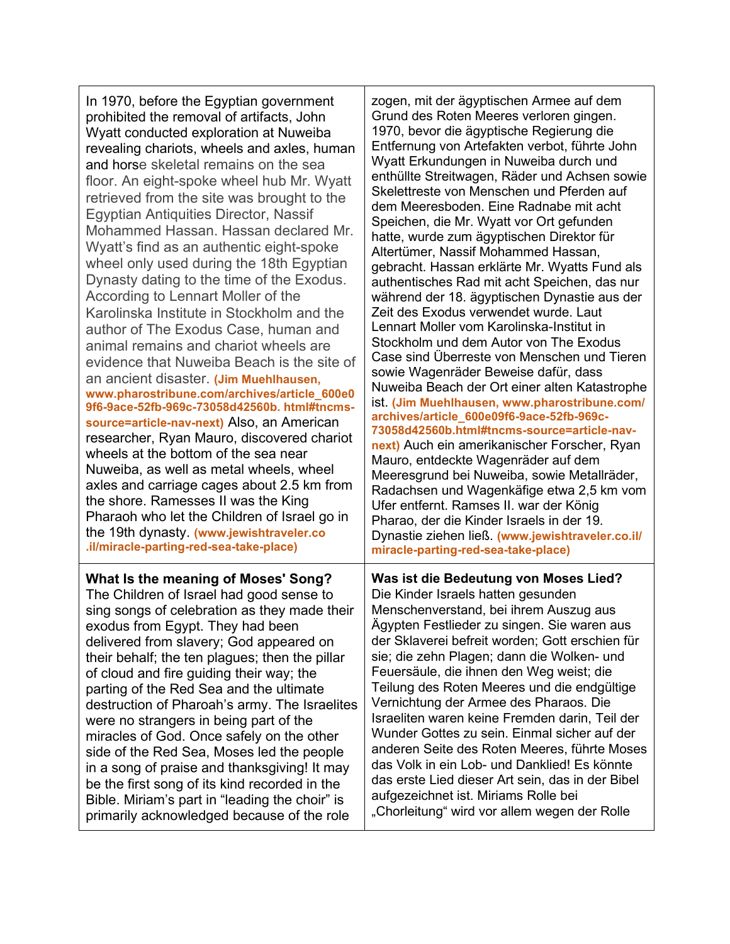In 1970, before the Egyptian government prohibited the removal of artifacts, John Wyatt conducted exploration at Nuweiba revealing chariots, wheels and axles, human and horse skeletal remains on the sea floor. An eight-spoke wheel hub Mr. Wyatt retrieved from the site was brought to the Egyptian Antiquities Director, Nassif Mohammed Hassan. Hassan declared Mr. Wyatt's find as an authentic eight-spoke wheel only used during the 18th Egyptian Dynasty dating to the time of the Exodus. According to Lennart Moller of the Karolinska Institute in Stockholm and the author of The Exodus Case, human and animal remains and chariot wheels are evidence that Nuweiba Beach is the site of an ancient disaster. **(Jim Muehlhausen, www.pharostribune.com/archives/article\_600e0 9f6-9ace-52fb-969c-73058d42560b. html#tncmssource=article-nav-next)** Also, an American researcher, Ryan Mauro, discovered chariot wheels at the bottom of the sea near Nuweiba, as well as metal wheels, wheel axles and carriage cages about 2.5 km from the shore. Ramesses II was the King Pharaoh who let the Children of Israel go in the 19th dynasty. **(www.jewishtraveler.co .il/miracle-parting-red-sea-take-place)**

**What Is the meaning of Moses' Song?** The Children of Israel had good sense to sing songs of celebration as they made their exodus from Egypt. They had been delivered from slavery; God appeared on their behalf; the ten plagues; then the pillar of cloud and fire guiding their way; the parting of the Red Sea and the ultimate destruction of Pharoah's army. The Israelites were no strangers in being part of the miracles of God. Once safely on the other side of the Red Sea, Moses led the people in a song of praise and thanksgiving! It may be the first song of its kind recorded in the Bible. Miriam's part in "leading the choir" is primarily acknowledged because of the role

zogen, mit der ägyptischen Armee auf dem Grund des Roten Meeres verloren gingen. 1970, bevor die ägyptische Regierung die Entfernung von Artefakten verbot, führte John Wyatt Erkundungen in Nuweiba durch und enthüllte Streitwagen, Räder und Achsen sowie Skelettreste von Menschen und Pferden auf dem Meeresboden. Eine Radnabe mit acht Speichen, die Mr. Wyatt vor Ort gefunden hatte, wurde zum ägyptischen Direktor für Altertümer, Nassif Mohammed Hassan, gebracht. Hassan erklärte Mr. Wyatts Fund als authentisches Rad mit acht Speichen, das nur während der 18. ägyptischen Dynastie aus der Zeit des Exodus verwendet wurde. Laut Lennart Moller vom Karolinska-Institut in Stockholm und dem Autor von The Exodus Case sind Überreste von Menschen und Tieren sowie Wagenräder Beweise dafür, dass Nuweiba Beach der Ort einer alten Katastrophe ist. **(Jim Muehlhausen, www.pharostribune.com/ archives/article\_600e09f6-9ace-52fb-969c-73058d42560b.html#tncms-source=article-navnext)** Auch ein amerikanischer Forscher, Ryan Mauro, entdeckte Wagenräder auf dem Meeresgrund bei Nuweiba, sowie Metallräder, Radachsen und Wagenkäfige etwa 2,5 km vom Ufer entfernt. Ramses II. war der König Pharao, der die Kinder Israels in der 19. Dynastie ziehen ließ. **(www.jewishtraveler.co.il/ miracle-parting-red-sea-take-place)**

#### **Was ist die Bedeutung von Moses Lied?** Die Kinder Israels hatten gesunden Menschenverstand, bei ihrem Auszug aus Ägypten Festlieder zu singen. Sie waren aus der Sklaverei befreit worden; Gott erschien für sie; die zehn Plagen; dann die Wolken- und Feuersäule, die ihnen den Weg weist; die Teilung des Roten Meeres und die endgültige Vernichtung der Armee des Pharaos. Die Israeliten waren keine Fremden darin, Teil der Wunder Gottes zu sein. Einmal sicher auf der anderen Seite des Roten Meeres, führte Moses das Volk in ein Lob- und Danklied! Es könnte das erste Lied dieser Art sein, das in der Bibel aufgezeichnet ist. Miriams Rolle bei "Chorleitung" wird vor allem wegen der Rolle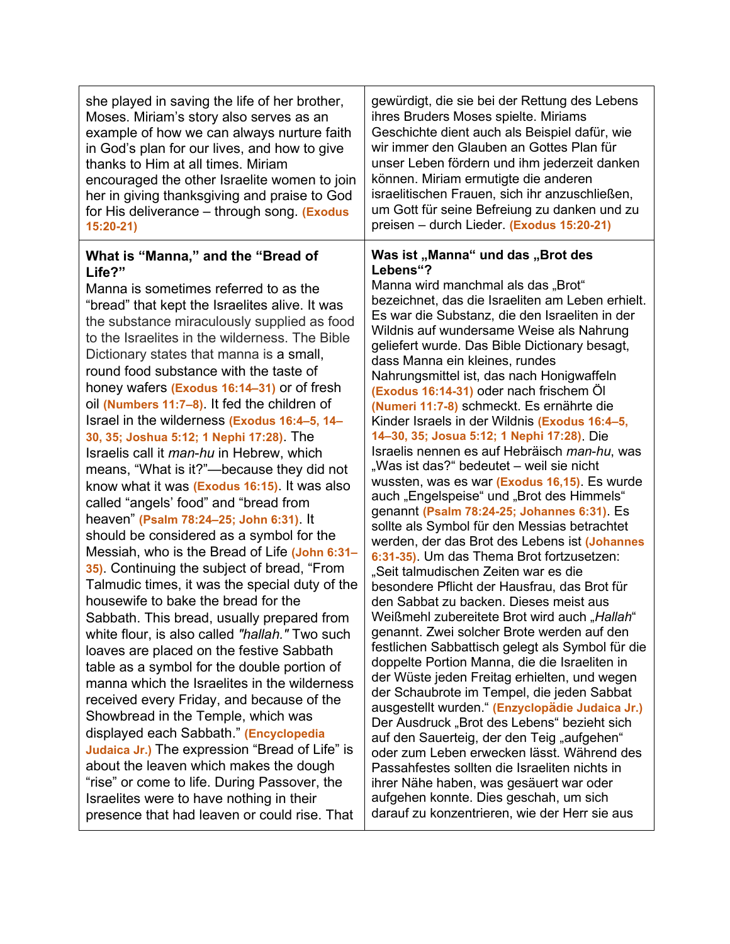| she played in saving the life of her brother,                                                                                                                                                                                                                                                                                                                                                                                                                                                                                                                                                                                                                                                                                                                                                                                                                                                                                                                                                                                                                                                                                                                                                                                                                                                                                                                                                                                                                                                                                                                                                                     | gewürdigt, die sie bei der Rettung des Lebens                                                                                                                                                                                                                                                                                                                                                                                                                                                                                                                                                                                                                                                                                                                                                                                                                                                                                                                                                                                                                                                                                                                                                                                                                                                                                                                                                                                                                                                                                                                                                                                                                                                                                                                              |
|-------------------------------------------------------------------------------------------------------------------------------------------------------------------------------------------------------------------------------------------------------------------------------------------------------------------------------------------------------------------------------------------------------------------------------------------------------------------------------------------------------------------------------------------------------------------------------------------------------------------------------------------------------------------------------------------------------------------------------------------------------------------------------------------------------------------------------------------------------------------------------------------------------------------------------------------------------------------------------------------------------------------------------------------------------------------------------------------------------------------------------------------------------------------------------------------------------------------------------------------------------------------------------------------------------------------------------------------------------------------------------------------------------------------------------------------------------------------------------------------------------------------------------------------------------------------------------------------------------------------|----------------------------------------------------------------------------------------------------------------------------------------------------------------------------------------------------------------------------------------------------------------------------------------------------------------------------------------------------------------------------------------------------------------------------------------------------------------------------------------------------------------------------------------------------------------------------------------------------------------------------------------------------------------------------------------------------------------------------------------------------------------------------------------------------------------------------------------------------------------------------------------------------------------------------------------------------------------------------------------------------------------------------------------------------------------------------------------------------------------------------------------------------------------------------------------------------------------------------------------------------------------------------------------------------------------------------------------------------------------------------------------------------------------------------------------------------------------------------------------------------------------------------------------------------------------------------------------------------------------------------------------------------------------------------------------------------------------------------------------------------------------------------|
| Moses. Miriam's story also serves as an                                                                                                                                                                                                                                                                                                                                                                                                                                                                                                                                                                                                                                                                                                                                                                                                                                                                                                                                                                                                                                                                                                                                                                                                                                                                                                                                                                                                                                                                                                                                                                           | ihres Bruders Moses spielte. Miriams                                                                                                                                                                                                                                                                                                                                                                                                                                                                                                                                                                                                                                                                                                                                                                                                                                                                                                                                                                                                                                                                                                                                                                                                                                                                                                                                                                                                                                                                                                                                                                                                                                                                                                                                       |
| example of how we can always nurture faith                                                                                                                                                                                                                                                                                                                                                                                                                                                                                                                                                                                                                                                                                                                                                                                                                                                                                                                                                                                                                                                                                                                                                                                                                                                                                                                                                                                                                                                                                                                                                                        | Geschichte dient auch als Beispiel dafür, wie                                                                                                                                                                                                                                                                                                                                                                                                                                                                                                                                                                                                                                                                                                                                                                                                                                                                                                                                                                                                                                                                                                                                                                                                                                                                                                                                                                                                                                                                                                                                                                                                                                                                                                                              |
| in God's plan for our lives, and how to give                                                                                                                                                                                                                                                                                                                                                                                                                                                                                                                                                                                                                                                                                                                                                                                                                                                                                                                                                                                                                                                                                                                                                                                                                                                                                                                                                                                                                                                                                                                                                                      | wir immer den Glauben an Gottes Plan für                                                                                                                                                                                                                                                                                                                                                                                                                                                                                                                                                                                                                                                                                                                                                                                                                                                                                                                                                                                                                                                                                                                                                                                                                                                                                                                                                                                                                                                                                                                                                                                                                                                                                                                                   |
| thanks to Him at all times. Miriam                                                                                                                                                                                                                                                                                                                                                                                                                                                                                                                                                                                                                                                                                                                                                                                                                                                                                                                                                                                                                                                                                                                                                                                                                                                                                                                                                                                                                                                                                                                                                                                | unser Leben fördern und ihm jederzeit danken                                                                                                                                                                                                                                                                                                                                                                                                                                                                                                                                                                                                                                                                                                                                                                                                                                                                                                                                                                                                                                                                                                                                                                                                                                                                                                                                                                                                                                                                                                                                                                                                                                                                                                                               |
| encouraged the other Israelite women to join                                                                                                                                                                                                                                                                                                                                                                                                                                                                                                                                                                                                                                                                                                                                                                                                                                                                                                                                                                                                                                                                                                                                                                                                                                                                                                                                                                                                                                                                                                                                                                      | können. Miriam ermutigte die anderen                                                                                                                                                                                                                                                                                                                                                                                                                                                                                                                                                                                                                                                                                                                                                                                                                                                                                                                                                                                                                                                                                                                                                                                                                                                                                                                                                                                                                                                                                                                                                                                                                                                                                                                                       |
| her in giving thanksgiving and praise to God                                                                                                                                                                                                                                                                                                                                                                                                                                                                                                                                                                                                                                                                                                                                                                                                                                                                                                                                                                                                                                                                                                                                                                                                                                                                                                                                                                                                                                                                                                                                                                      | israelitischen Frauen, sich ihr anzuschließen,                                                                                                                                                                                                                                                                                                                                                                                                                                                                                                                                                                                                                                                                                                                                                                                                                                                                                                                                                                                                                                                                                                                                                                                                                                                                                                                                                                                                                                                                                                                                                                                                                                                                                                                             |
| for His deliverance – through song. (Exodus                                                                                                                                                                                                                                                                                                                                                                                                                                                                                                                                                                                                                                                                                                                                                                                                                                                                                                                                                                                                                                                                                                                                                                                                                                                                                                                                                                                                                                                                                                                                                                       | um Gott für seine Befreiung zu danken und zu                                                                                                                                                                                                                                                                                                                                                                                                                                                                                                                                                                                                                                                                                                                                                                                                                                                                                                                                                                                                                                                                                                                                                                                                                                                                                                                                                                                                                                                                                                                                                                                                                                                                                                                               |
| $15:20-21$                                                                                                                                                                                                                                                                                                                                                                                                                                                                                                                                                                                                                                                                                                                                                                                                                                                                                                                                                                                                                                                                                                                                                                                                                                                                                                                                                                                                                                                                                                                                                                                                        | preisen - durch Lieder. (Exodus 15:20-21)                                                                                                                                                                                                                                                                                                                                                                                                                                                                                                                                                                                                                                                                                                                                                                                                                                                                                                                                                                                                                                                                                                                                                                                                                                                                                                                                                                                                                                                                                                                                                                                                                                                                                                                                  |
| What is "Manna," and the "Bread of<br>Life?"<br>Manna is sometimes referred to as the<br>"bread" that kept the Israelites alive. It was<br>the substance miraculously supplied as food<br>to the Israelites in the wilderness. The Bible<br>Dictionary states that manna is a small,<br>round food substance with the taste of<br>honey wafers (Exodus 16:14-31) or of fresh<br>oil (Numbers 11:7-8). It fed the children of<br>Israel in the wilderness (Exodus 16:4-5, 14-<br>30, 35; Joshua 5:12; 1 Nephi 17:28). The<br>Israelis call it <i>man-hu</i> in Hebrew, which<br>means, "What is it?"-because they did not<br>know what it was (Exodus 16:15). It was also<br>called "angels' food" and "bread from<br>heaven" (Psalm 78:24-25; John 6:31). It<br>should be considered as a symbol for the<br>Messiah, who is the Bread of Life (John 6:31-<br>35). Continuing the subject of bread, "From<br>Talmudic times, it was the special duty of the<br>housewife to bake the bread for the<br>Sabbath. This bread, usually prepared from<br>white flour, is also called "hallah." Two such<br>loaves are placed on the festive Sabbath<br>table as a symbol for the double portion of<br>manna which the Israelites in the wilderness<br>received every Friday, and because of the<br>Showbread in the Temple, which was<br>displayed each Sabbath." (Encyclopedia<br>Judaica Jr.) The expression "Bread of Life" is<br>about the leaven which makes the dough<br>"rise" or come to life. During Passover, the<br>Israelites were to have nothing in their<br>presence that had leaven or could rise. That | Was ist "Manna" und das "Brot des<br>Lebens"?<br>Manna wird manchmal als das "Brot"<br>bezeichnet, das die Israeliten am Leben erhielt.<br>Es war die Substanz, die den Israeliten in der<br>Wildnis auf wundersame Weise als Nahrung<br>geliefert wurde. Das Bible Dictionary besagt,<br>dass Manna ein kleines, rundes<br>Nahrungsmittel ist, das nach Honigwaffeln<br>(Exodus 16:14-31) oder nach frischem Öl<br>(Numeri 11:7-8) schmeckt. Es ernährte die<br>Kinder Israels in der Wildnis (Exodus 16:4-5,<br>14-30, 35; Josua 5:12; 1 Nephi 17:28). Die<br>Israelis nennen es auf Hebräisch man-hu, was<br>"Was ist das?" bedeutet – weil sie nicht<br>wussten, was es war (Exodus 16,15). Es wurde<br>auch "Engelspeise" und "Brot des Himmels"<br>genannt (Psalm 78:24-25; Johannes 6:31). Es<br>sollte als Symbol für den Messias betrachtet<br>werden, der das Brot des Lebens ist (Johannes<br>6:31-35). Um das Thema Brot fortzusetzen:<br>"Seit talmudischen Zeiten war es die<br>besondere Pflicht der Hausfrau, das Brot für<br>den Sabbat zu backen. Dieses meist aus<br>Weißmehl zubereitete Brot wird auch "Hallah"<br>genannt. Zwei solcher Brote werden auf den<br>festlichen Sabbattisch gelegt als Symbol für die<br>doppelte Portion Manna, die die Israeliten in<br>der Wüste jeden Freitag erhielten, und wegen<br>der Schaubrote im Tempel, die jeden Sabbat<br>ausgestellt wurden." (Enzyclopädie Judaica Jr.)<br>Der Ausdruck "Brot des Lebens" bezieht sich<br>auf den Sauerteig, der den Teig "aufgehen"<br>oder zum Leben erwecken lässt. Während des<br>Passahfestes sollten die Israeliten nichts in<br>ihrer Nähe haben, was gesäuert war oder<br>aufgehen konnte. Dies geschah, um sich<br>darauf zu konzentrieren, wie der Herr sie aus |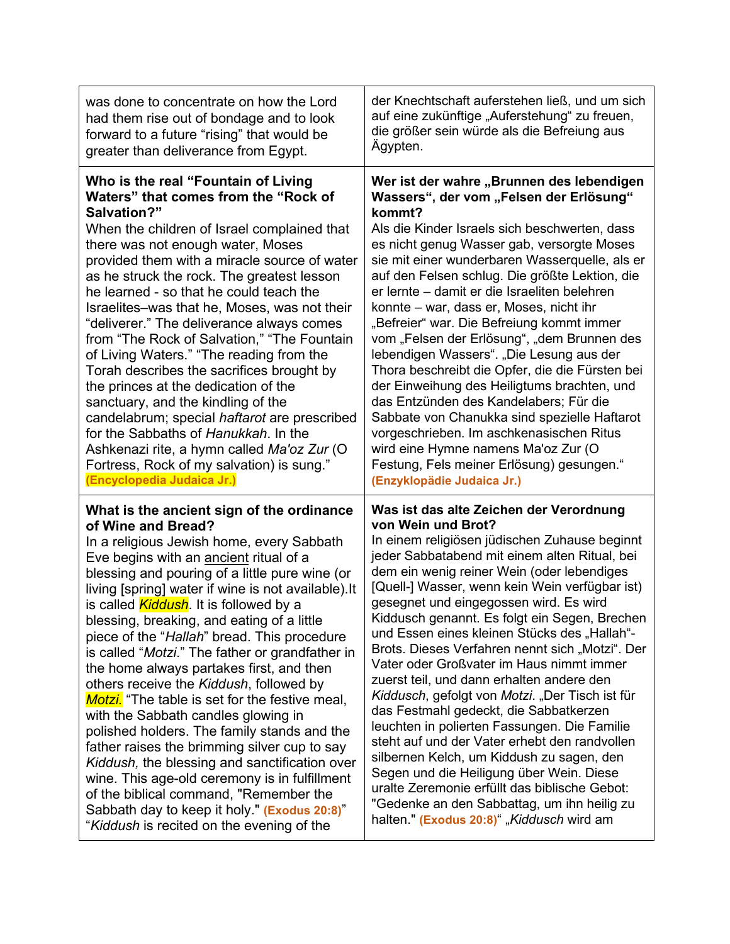| was done to concentrate on how the Lord               | der Knechtschaft auferstehen ließ, und um sich  |
|-------------------------------------------------------|-------------------------------------------------|
| had them rise out of bondage and to look              | auf eine zukünftige "Auferstehung" zu freuen,   |
| forward to a future "rising" that would be            | die größer sein würde als die Befreiung aus     |
| greater than deliverance from Egypt.                  | Ägypten.                                        |
| Who is the real "Fountain of Living                   | Wer ist der wahre "Brunnen des lebendigen       |
| Waters" that comes from the "Rock of                  | Wassers", der vom "Felsen der Erlösung"         |
| Salvation?"                                           | kommt?                                          |
| When the children of Israel complained that           | Als die Kinder Israels sich beschwerten, dass   |
| there was not enough water, Moses                     | es nicht genug Wasser gab, versorgte Moses      |
| provided them with a miracle source of water          | sie mit einer wunderbaren Wasserquelle, als er  |
| as he struck the rock. The greatest lesson            | auf den Felsen schlug. Die größte Lektion, die  |
| he learned - so that he could teach the               | er lernte – damit er die Israeliten belehren    |
| Israelites-was that he, Moses, was not their          | konnte – war, dass er, Moses, nicht ihr         |
| "deliverer." The deliverance always comes             | "Befreier" war. Die Befreiung kommt immer       |
| from "The Rock of Salvation," "The Fountain           | vom "Felsen der Erlösung", "dem Brunnen des     |
| of Living Waters." "The reading from the              | lebendigen Wassers". "Die Lesung aus der        |
| Torah describes the sacrifices brought by             | Thora beschreibt die Opfer, die die Fürsten bei |
| the princes at the dedication of the                  | der Einweihung des Heiligtums brachten, und     |
| sanctuary, and the kindling of the                    | das Entzünden des Kandelabers; Für die          |
| candelabrum; special haftarot are prescribed          | Sabbate von Chanukka sind spezielle Haftarot    |
| for the Sabbaths of Hanukkah. In the                  | vorgeschrieben. Im aschkenasischen Ritus        |
| Ashkenazi rite, a hymn called Ma'oz Zur (O            | wird eine Hymne namens Ma'oz Zur (O             |
| Fortress, Rock of my salvation) is sung."             | Festung, Fels meiner Erlösung) gesungen."       |
| (Encyclopedia Judaica Jr.)                            | (Enzyklopädie Judaica Jr.)                      |
| What is the ancient sign of the ordinance             | Was ist das alte Zeichen der Verordnung         |
| of Wine and Bread?                                    | von Wein und Brot?                              |
| In a religious Jewish home, every Sabbath             | In einem religiösen jüdischen Zuhause beginnt   |
| Eve begins with an <b>ancient</b> ritual of a         | jeder Sabbatabend mit einem alten Ritual, bei   |
| blessing and pouring of a little pure wine (or        | dem ein wenig reiner Wein (oder lebendiges      |
| living [spring] water if wine is not available). It   | [Quell-] Wasser, wenn kein Wein verfügbar ist)  |
| is called <i>Kiddush</i> . It is followed by a        | gesegnet und eingegossen wird. Es wird          |
| blessing, breaking, and eating of a little            | Kiddusch genannt. Es folgt ein Segen, Brechen   |
| piece of the "Hallah" bread. This procedure           | und Essen eines kleinen Stücks des "Hallah"-    |
| is called "Motzi." The father or grandfather in       | Brots. Dieses Verfahren nennt sich "Motzi". Der |
| the home always partakes first, and then              | Vater oder Großvater im Haus nimmt immer        |
| others receive the Kiddush, followed by               | zuerst teil, und dann erhalten andere den       |
| <b>Motzi.</b> "The table is set for the festive meal, | Kiddusch, gefolgt von Motzi. "Der Tisch ist für |
| with the Sabbath candles glowing in                   | das Festmahl gedeckt, die Sabbatkerzen          |
| polished holders. The family stands and the           | leuchten in polierten Fassungen. Die Familie    |
| father raises the brimming silver cup to say          | steht auf und der Vater erhebt den randvollen   |
| Kiddush, the blessing and sanctification over         | silbernen Kelch, um Kiddush zu sagen, den       |
| wine. This age-old ceremony is in fulfillment         | Segen und die Heiligung über Wein. Diese        |
| of the biblical command, "Remember the                | uralte Zeremonie erfüllt das biblische Gebot:   |
| Sabbath day to keep it holy." (Exodus 20:8)"          | "Gedenke an den Sabbattag, um ihn heilig zu     |
| "Kiddush is recited on the evening of the             | halten." (Exodus 20:8)", Kiddusch wird am       |